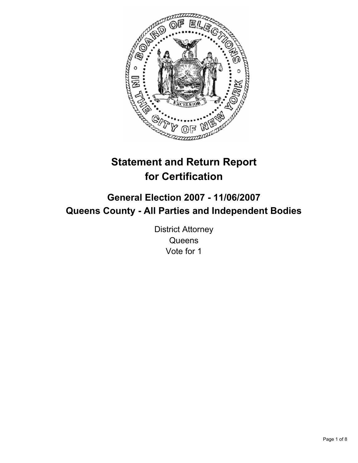

# **Statement and Return Report for Certification**

## **General Election 2007 - 11/06/2007 Queens County - All Parties and Independent Bodies**

District Attorney **Queens** Vote for 1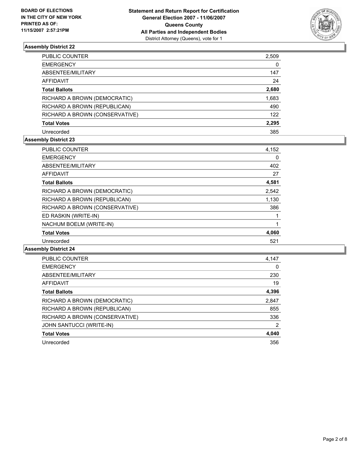

| PUBLIC COUNTER                 | 2,509 |
|--------------------------------|-------|
| <b>EMERGENCY</b>               | 0     |
| ABSENTEE/MILITARY              | 147   |
| AFFIDAVIT                      | 24    |
| <b>Total Ballots</b>           | 2,680 |
| RICHARD A BROWN (DEMOCRATIC)   | 1,683 |
| RICHARD A BROWN (REPUBLICAN)   | 490   |
| RICHARD A BROWN (CONSERVATIVE) | 122   |
| <b>Total Votes</b>             | 2,295 |
| Unrecorded                     | 385   |

#### **Assembly District 23**

| <b>PUBLIC COUNTER</b>          | 4,152 |
|--------------------------------|-------|
| <b>EMERGENCY</b>               | 0     |
| ABSENTEE/MILITARY              | 402   |
| AFFIDAVIT                      | 27    |
| <b>Total Ballots</b>           | 4,581 |
| RICHARD A BROWN (DEMOCRATIC)   | 2,542 |
| RICHARD A BROWN (REPUBLICAN)   | 1,130 |
| RICHARD A BROWN (CONSERVATIVE) | 386   |
| ED RASKIN (WRITE-IN)           |       |
| NACHUM BOELM (WRITE-IN)        |       |
| <b>Total Votes</b>             | 4,060 |
| Unrecorded                     | 521   |

| <b>PUBLIC COUNTER</b>          | 4,147 |
|--------------------------------|-------|
| <b>EMERGENCY</b>               | 0     |
| ABSENTEE/MILITARY              | 230   |
| AFFIDAVIT                      | 19    |
| <b>Total Ballots</b>           | 4,396 |
| RICHARD A BROWN (DEMOCRATIC)   | 2,847 |
| RICHARD A BROWN (REPUBLICAN)   | 855   |
| RICHARD A BROWN (CONSERVATIVE) | 336   |
| JOHN SANTUCCI (WRITE-IN)       | 2     |
| <b>Total Votes</b>             | 4,040 |
| Unrecorded                     | 356   |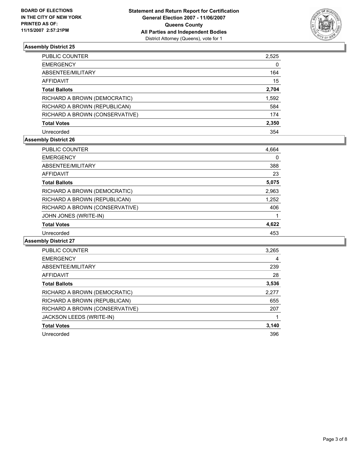

| PUBLIC COUNTER                 | 2,525 |
|--------------------------------|-------|
| <b>EMERGENCY</b>               | 0     |
| ABSENTEE/MILITARY              | 164   |
| AFFIDAVIT                      | 15    |
| <b>Total Ballots</b>           | 2,704 |
| RICHARD A BROWN (DEMOCRATIC)   | 1,592 |
| RICHARD A BROWN (REPUBLICAN)   | 584   |
| RICHARD A BROWN (CONSERVATIVE) | 174   |
| <b>Total Votes</b>             | 2,350 |
| Unrecorded                     | 354   |

#### **Assembly District 26**

| <b>PUBLIC COUNTER</b>          | 4,664 |  |
|--------------------------------|-------|--|
| <b>EMERGENCY</b>               | 0     |  |
| ABSENTEE/MILITARY              | 388   |  |
| AFFIDAVIT                      | 23    |  |
| <b>Total Ballots</b>           | 5,075 |  |
| RICHARD A BROWN (DEMOCRATIC)   | 2,963 |  |
| RICHARD A BROWN (REPUBLICAN)   | 1,252 |  |
| RICHARD A BROWN (CONSERVATIVE) | 406   |  |
| JOHN JONES (WRITE-IN)          |       |  |
| <b>Total Votes</b>             | 4,622 |  |
| Unrecorded                     | 453   |  |

| PUBLIC COUNTER                 | 3,265 |
|--------------------------------|-------|
| <b>EMERGENCY</b>               | 4     |
| ABSENTEE/MILITARY              | 239   |
| AFFIDAVIT                      | 28    |
| <b>Total Ballots</b>           | 3,536 |
| RICHARD A BROWN (DEMOCRATIC)   | 2,277 |
| RICHARD A BROWN (REPUBLICAN)   | 655   |
| RICHARD A BROWN (CONSERVATIVE) | 207   |
| JACKSON LEEDS (WRITE-IN)       |       |
| <b>Total Votes</b>             | 3,140 |
| Unrecorded                     | 396   |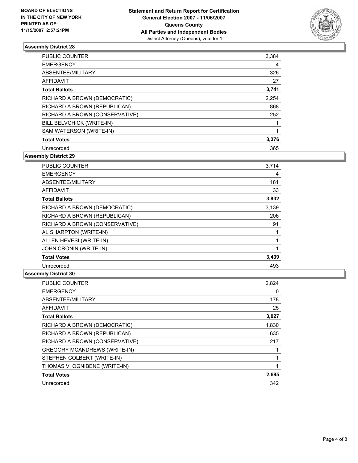

| <b>PUBLIC COUNTER</b>          | 3,384 |
|--------------------------------|-------|
| <b>EMERGENCY</b>               | 4     |
| ABSENTEE/MILITARY              | 326   |
| AFFIDAVIT                      | 27    |
| <b>Total Ballots</b>           | 3,741 |
| RICHARD A BROWN (DEMOCRATIC)   | 2,254 |
| RICHARD A BROWN (REPUBLICAN)   | 868   |
| RICHARD A BROWN (CONSERVATIVE) | 252   |
| BILL BELVCHICK (WRITE-IN)      |       |
| SAM WATERSON (WRITE-IN)        |       |
| <b>Total Votes</b>             | 3,376 |
| Unrecorded                     | 365   |

**Assembly District 29**

| <b>PUBLIC COUNTER</b>          | 3,714 |
|--------------------------------|-------|
| <b>EMERGENCY</b>               | 4     |
| ABSENTEE/MILITARY              | 181   |
| <b>AFFIDAVIT</b>               | 33    |
| <b>Total Ballots</b>           | 3,932 |
| RICHARD A BROWN (DEMOCRATIC)   | 3,139 |
| RICHARD A BROWN (REPUBLICAN)   | 206   |
| RICHARD A BROWN (CONSERVATIVE) | 91    |
| AL SHARPTON (WRITE-IN)         |       |
| ALLEN HEVESI (WRITE-IN)        |       |
| JOHN CRONIN (WRITE-IN)         |       |
| <b>Total Votes</b>             | 3,439 |
| Unrecorded                     | 493   |

| <b>PUBLIC COUNTER</b>               | 2,824 |
|-------------------------------------|-------|
| <b>EMERGENCY</b>                    | 0     |
| ABSENTEE/MILITARY                   | 178   |
| <b>AFFIDAVIT</b>                    | 25    |
| <b>Total Ballots</b>                | 3,027 |
| RICHARD A BROWN (DEMOCRATIC)        | 1,830 |
| RICHARD A BROWN (REPUBLICAN)        | 635   |
| RICHARD A BROWN (CONSERVATIVE)      | 217   |
| <b>GREGORY MCANDREWS (WRITE-IN)</b> |       |
| STEPHEN COLBERT (WRITE-IN)          |       |
| THOMAS V, OGNIBENE (WRITE-IN)       |       |
| <b>Total Votes</b>                  | 2,685 |
| Unrecorded                          | 342   |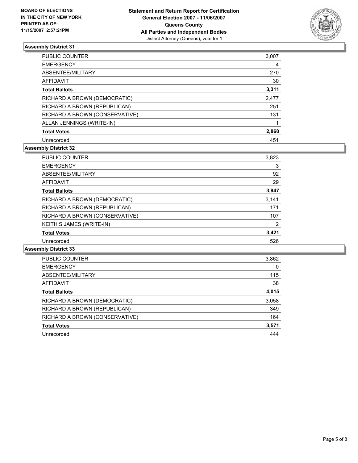

| <b>PUBLIC COUNTER</b>          | 3,007 |  |
|--------------------------------|-------|--|
| <b>EMERGENCY</b>               | 4     |  |
| ABSENTEE/MILITARY              | 270   |  |
| AFFIDAVIT                      | 30    |  |
| <b>Total Ballots</b>           | 3,311 |  |
| RICHARD A BROWN (DEMOCRATIC)   | 2,477 |  |
| RICHARD A BROWN (REPUBLICAN)   | 251   |  |
| RICHARD A BROWN (CONSERVATIVE) | 131   |  |
| ALLAN JENNINGS (WRITE-IN)      |       |  |
| <b>Total Votes</b>             | 2,860 |  |
| Unrecorded                     | 451   |  |

#### **Assembly District 32**

| <b>PUBLIC COUNTER</b>          | 3,823 |
|--------------------------------|-------|
| <b>EMERGENCY</b>               | 3     |
| ABSENTEE/MILITARY              | 92    |
| AFFIDAVIT                      | 29    |
| <b>Total Ballots</b>           | 3,947 |
| RICHARD A BROWN (DEMOCRATIC)   | 3,141 |
| RICHARD A BROWN (REPUBLICAN)   | 171   |
| RICHARD A BROWN (CONSERVATIVE) | 107   |
| KEITH S JAMES (WRITE-IN)       | 2     |
| <b>Total Votes</b>             | 3,421 |
| Unrecorded                     | 526   |

| PUBLIC COUNTER                 | 3,862 |
|--------------------------------|-------|
| <b>EMERGENCY</b>               |       |
| ABSENTEE/MILITARY              | 115   |
| AFFIDAVIT                      | 38    |
| <b>Total Ballots</b>           | 4,015 |
| RICHARD A BROWN (DEMOCRATIC)   | 3,058 |
| RICHARD A BROWN (REPUBLICAN)   | 349   |
| RICHARD A BROWN (CONSERVATIVE) | 164   |
| <b>Total Votes</b>             | 3,571 |
| Unrecorded                     | 444   |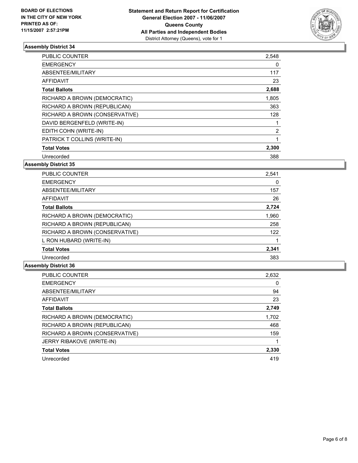

| <b>PUBLIC COUNTER</b>          | 2,548 |  |
|--------------------------------|-------|--|
| <b>EMERGENCY</b>               | 0     |  |
| ABSENTEE/MILITARY              | 117   |  |
| AFFIDAVIT                      | 23    |  |
| <b>Total Ballots</b>           | 2,688 |  |
| RICHARD A BROWN (DEMOCRATIC)   | 1,805 |  |
| RICHARD A BROWN (REPUBLICAN)   | 363   |  |
| RICHARD A BROWN (CONSERVATIVE) | 128   |  |
| DAVID BERGENFELD (WRITE-IN)    |       |  |
| EDITH COHN (WRITE-IN)          | 2     |  |
| PATRICK T COLLINS (WRITE-IN)   |       |  |
| <b>Total Votes</b>             | 2,300 |  |
| Unrecorded                     | 388   |  |

#### **Assembly District 35**

| <b>PUBLIC COUNTER</b>          | 2,541 |
|--------------------------------|-------|
| <b>EMERGENCY</b>               | 0     |
| ABSENTEE/MILITARY              | 157   |
| <b>AFFIDAVIT</b>               | 26    |
| <b>Total Ballots</b>           | 2,724 |
| RICHARD A BROWN (DEMOCRATIC)   | 1,960 |
| RICHARD A BROWN (REPUBLICAN)   | 258   |
| RICHARD A BROWN (CONSERVATIVE) | 122   |
| L RON HUBARD (WRITE-IN)        |       |
| <b>Total Votes</b>             | 2,341 |
| Unrecorded                     | 383   |

| <b>PUBLIC COUNTER</b>          | 2,632 |
|--------------------------------|-------|
| <b>EMERGENCY</b>               |       |
| ABSENTEE/MILITARY              | 94    |
| AFFIDAVIT                      | 23    |
| <b>Total Ballots</b>           | 2,749 |
| RICHARD A BROWN (DEMOCRATIC)   | 1,702 |
| RICHARD A BROWN (REPUBLICAN)   | 468   |
| RICHARD A BROWN (CONSERVATIVE) | 159   |
| JERRY RIBAKOVE (WRITE-IN)      |       |
| <b>Total Votes</b>             | 2,330 |
| Unrecorded                     | 419   |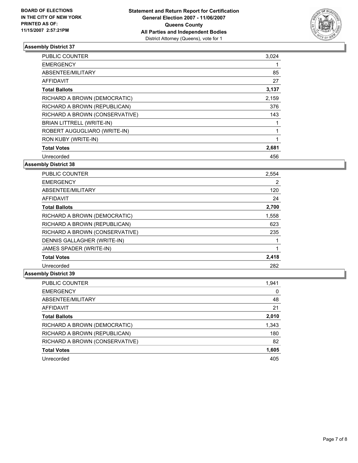

| <b>PUBLIC COUNTER</b>          | 3,024 |  |
|--------------------------------|-------|--|
| <b>EMERGENCY</b>               |       |  |
| ABSENTEE/MILITARY              | 85    |  |
| AFFIDAVIT                      | 27    |  |
| <b>Total Ballots</b>           | 3,137 |  |
| RICHARD A BROWN (DEMOCRATIC)   | 2,159 |  |
| RICHARD A BROWN (REPUBLICAN)   | 376   |  |
| RICHARD A BROWN (CONSERVATIVE) | 143   |  |
| BRIAN LITTRELL (WRITE-IN)      |       |  |
| ROBERT AUGUGLIARO (WRITE-IN)   |       |  |
| RON KUBY (WRITE-IN)            |       |  |
| <b>Total Votes</b>             | 2,681 |  |
| Unrecorded                     | 456   |  |

#### **Assembly District 38**

| <b>PUBLIC COUNTER</b>          | 2,554 |  |
|--------------------------------|-------|--|
| <b>EMERGENCY</b>               | 2     |  |
| ABSENTEE/MILITARY              | 120   |  |
| <b>AFFIDAVIT</b>               | 24    |  |
| <b>Total Ballots</b>           | 2,700 |  |
| RICHARD A BROWN (DEMOCRATIC)   | 1,558 |  |
| RICHARD A BROWN (REPUBLICAN)   | 623   |  |
| RICHARD A BROWN (CONSERVATIVE) | 235   |  |
| DENNIS GALLAGHER (WRITE-IN)    |       |  |
| JAMES SPADER (WRITE-IN)        |       |  |
| <b>Total Votes</b>             | 2,418 |  |
| Unrecorded                     | 282   |  |

| PUBLIC COUNTER                 | 1,941 |
|--------------------------------|-------|
| <b>EMERGENCY</b>               | 0     |
| ABSENTEE/MILITARY              | 48    |
| AFFIDAVIT                      | 21    |
| <b>Total Ballots</b>           | 2,010 |
| RICHARD A BROWN (DEMOCRATIC)   | 1,343 |
| RICHARD A BROWN (REPUBLICAN)   | 180   |
| RICHARD A BROWN (CONSERVATIVE) | 82    |
| <b>Total Votes</b>             | 1,605 |
| Unrecorded                     | 405   |
|                                |       |